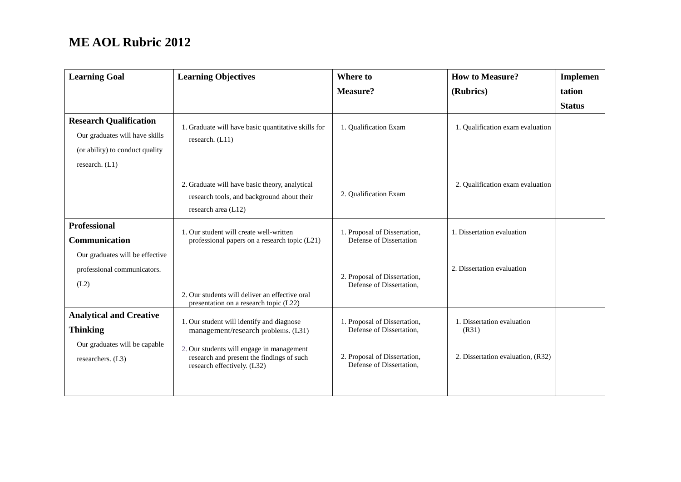| <b>Learning Goal</b>                                                                                                 | <b>Learning Objectives</b>                                                                                                                                                                                | Where to                                                                                                             | <b>How to Measure?</b>                                                   | <b>Implemen</b> |
|----------------------------------------------------------------------------------------------------------------------|-----------------------------------------------------------------------------------------------------------------------------------------------------------------------------------------------------------|----------------------------------------------------------------------------------------------------------------------|--------------------------------------------------------------------------|-----------------|
|                                                                                                                      |                                                                                                                                                                                                           | <b>Measure?</b>                                                                                                      | (Rubrics)                                                                | tation          |
|                                                                                                                      |                                                                                                                                                                                                           |                                                                                                                      |                                                                          | <b>Status</b>   |
| <b>Research Qualification</b><br>Our graduates will have skills<br>(or ability) to conduct quality<br>research. (L1) | 1. Graduate will have basic quantitative skills for<br>research. (L11)                                                                                                                                    | 1. Qualification Exam                                                                                                | 1. Qualification exam evaluation                                         |                 |
|                                                                                                                      | 2. Graduate will have basic theory, analytical<br>research tools, and background about their<br>research area (L12)                                                                                       | 2. Qualification Exam                                                                                                | 2. Qualification exam evaluation                                         |                 |
| <b>Professional</b><br>Communication<br>Our graduates will be effective                                              | 1. Our student will create well-written<br>professional papers on a research topic (L21)                                                                                                                  | 1. Proposal of Dissertation,<br>Defense of Dissertation                                                              | 1. Dissertation evaluation                                               |                 |
| professional communicators.<br>(L2)                                                                                  | 2. Our students will deliver an effective oral<br>presentation on a research topic (L22)                                                                                                                  | 2. Proposal of Dissertation,<br>Defense of Dissertation,                                                             | 2. Dissertation evaluation                                               |                 |
| <b>Analytical and Creative</b><br><b>Thinking</b><br>Our graduates will be capable<br>researchers. (L3)              | 1. Our student will identify and diagnose<br>management/research problems. (L31)<br>2. Our students will engage in management<br>research and present the findings of such<br>research effectively. (L32) | 1. Proposal of Dissertation,<br>Defense of Dissertation,<br>2. Proposal of Dissertation,<br>Defense of Dissertation. | 1. Dissertation evaluation<br>(R31)<br>2. Dissertation evaluation, (R32) |                 |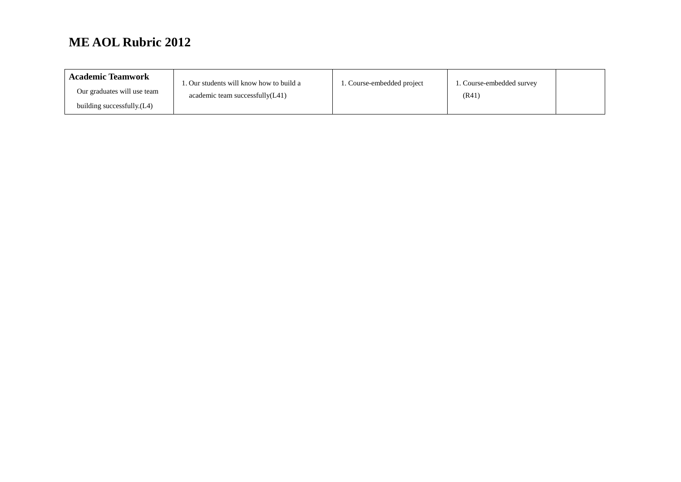| <b>Academic Teamwork</b>    | . Our students will know how to build a | Course-embedded project | 1. Course-embedded survey |  |
|-----------------------------|-----------------------------------------|-------------------------|---------------------------|--|
| Our graduates will use team | academic team successfully(L41)         |                         | (R41)                     |  |
| building successfully.(L4)  |                                         |                         |                           |  |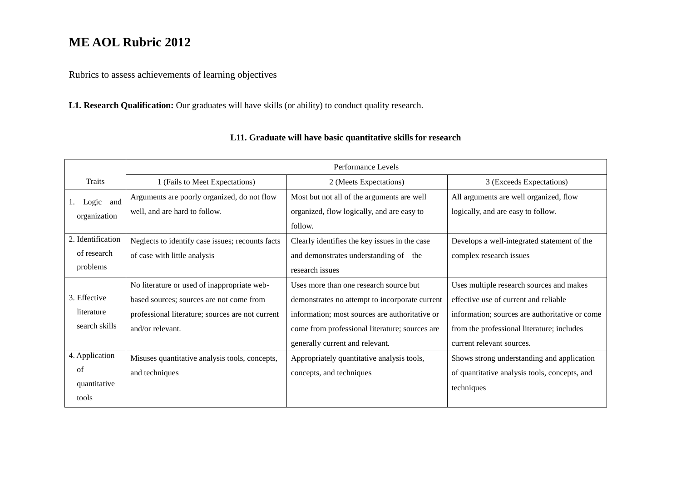Rubrics to assess achievements of learning objectives

**L1. Research Qualification:** Our graduates will have skills (or ability) to conduct quality research.

|                   | Performance Levels                               |                                                |                                                |  |
|-------------------|--------------------------------------------------|------------------------------------------------|------------------------------------------------|--|
| Traits            | 1 (Fails to Meet Expectations)                   | 2 (Meets Expectations)                         | 3 (Exceeds Expectations)                       |  |
| Logic and         | Arguments are poorly organized, do not flow      | Most but not all of the arguments are well     | All arguments are well organized, flow         |  |
| organization      | well, and are hard to follow.                    | organized, flow logically, and are easy to     | logically, and are easy to follow.             |  |
|                   |                                                  | follow.                                        |                                                |  |
| 2. Identification | Neglects to identify case issues; recounts facts | Clearly identifies the key issues in the case  | Develops a well-integrated statement of the    |  |
| of research       | of case with little analysis                     | and demonstrates understanding of the          | complex research issues                        |  |
| problems          |                                                  | research issues                                |                                                |  |
|                   | No literature or used of inappropriate web-      | Uses more than one research source but         | Uses multiple research sources and makes       |  |
| 3. Effective      | based sources; sources are not come from         | demonstrates no attempt to incorporate current | effective use of current and reliable          |  |
| literature        | professional literature; sources are not current | information; most sources are authoritative or | information; sources are authoritative or come |  |
| search skills     | and/or relevant.                                 | come from professional literature; sources are | from the professional literature; includes     |  |
|                   |                                                  | generally current and relevant.                | current relevant sources.                      |  |
| 4. Application    | Misuses quantitative analysis tools, concepts,   | Appropriately quantitative analysis tools,     | Shows strong understanding and application     |  |
| of                | and techniques                                   | concepts, and techniques                       | of quantitative analysis tools, concepts, and  |  |
| quantitative      |                                                  |                                                | techniques                                     |  |
| tools             |                                                  |                                                |                                                |  |

### **L11. Graduate will have basic quantitative skills for research**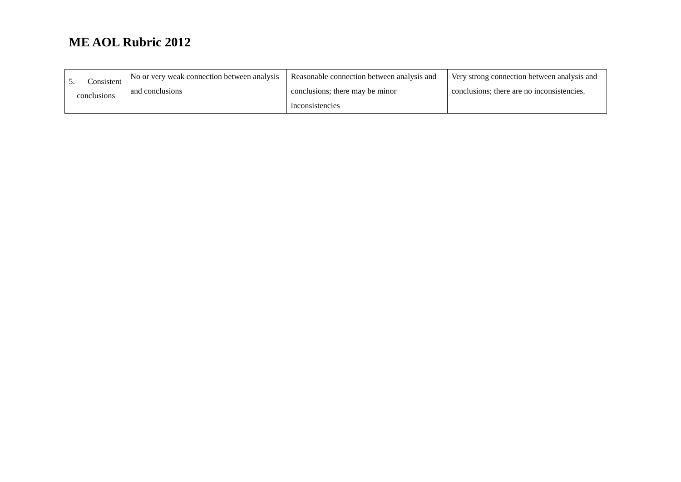| Consistent  | No or very weak connection between analysis | Reasonable connection between analysis and | Very strong connection between analysis and |
|-------------|---------------------------------------------|--------------------------------------------|---------------------------------------------|
| conclusions | and conclusions                             | conclusions; there may be minor            | conclusions; there are no inconsistencies.  |
|             |                                             | inconsistencies                            |                                             |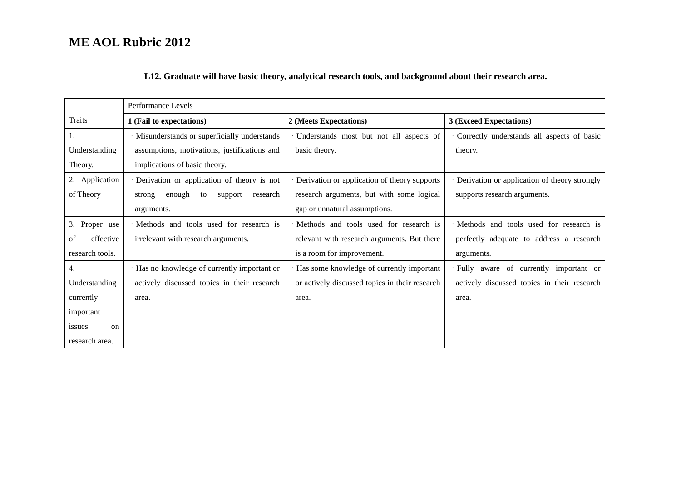### **L12. Graduate will have basic theory, analytical research tools, and background about their research area.**

|                         | Performance Levels                            |                                                |                                              |  |
|-------------------------|-----------------------------------------------|------------------------------------------------|----------------------------------------------|--|
| Traits                  | 1 (Fail to expectations)                      | 2 (Meets Expectations)                         | 3 (Exceed Expectations)                      |  |
| 1.                      | · Misunderstands or superficially understands | Understands most but not all aspects of        | Correctly understands all aspects of basic   |  |
| Understanding           | assumptions, motivations, justifications and  | basic theory.                                  | theory.                                      |  |
| Theory.                 | implications of basic theory.                 |                                                |                                              |  |
| 2. Application          | · Derivation or application of theory is not  | Derivation or application of theory supports   | Derivation or application of theory strongly |  |
| of Theory               | enough<br>research<br>to<br>support<br>strong | research arguments, but with some logical      | supports research arguments.                 |  |
|                         | arguments.                                    | gap or unnatural assumptions.                  |                                              |  |
| 3. Proper use           | · Methods and tools used for research is      | Methods and tools used for research is         | Methods and tools used for research is       |  |
| effective<br>of         | irrelevant with research arguments.           | relevant with research arguments. But there    | perfectly adequate to address a research     |  |
| research tools.         |                                               | is a room for improvement.                     | arguments.                                   |  |
| 4.                      | Has no knowledge of currently important or    | Has some knowledge of currently important      | Fully aware of currently important or        |  |
| Understanding           | actively discussed topics in their research   | or actively discussed topics in their research | actively discussed topics in their research  |  |
| currently               | area.                                         | area.                                          | area.                                        |  |
| important               |                                               |                                                |                                              |  |
| issues<br><sub>on</sub> |                                               |                                                |                                              |  |
| research area.          |                                               |                                                |                                              |  |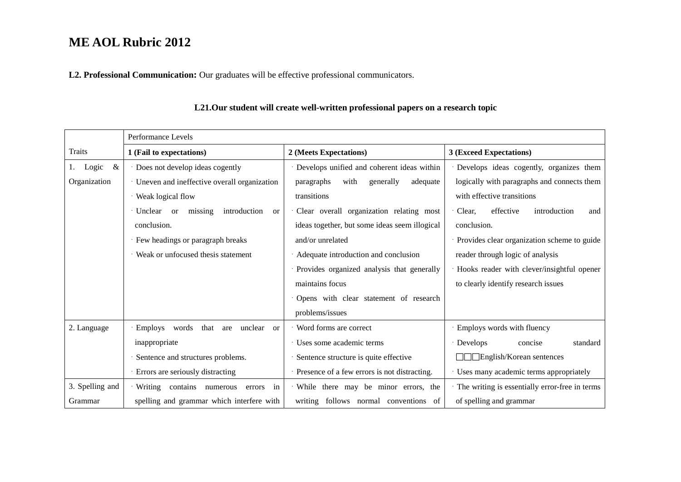**L2. Professional Communication:** Our graduates will be effective professional communicators.

|                  | Performance Levels                                             |                                               |                                                |  |
|------------------|----------------------------------------------------------------|-----------------------------------------------|------------------------------------------------|--|
| Traits           | 1 (Fail to expectations)                                       | 2 (Meets Expectations)                        | 3 (Exceed Expectations)                        |  |
| &<br>Logic<br>1. | · Does not develop ideas cogently                              | Develops unified and coherent ideas within    | Develops ideas cogently, organizes them        |  |
| Organization     | · Uneven and ineffective overall organization                  | with<br>generally<br>adequate<br>paragraphs   | logically with paragraphs and connects them    |  |
|                  | · Weak logical flow                                            | transitions                                   | with effective transitions                     |  |
|                  | $\cdot$ Unclear or<br>missing<br>introduction<br><sub>or</sub> | Clear overall organization relating most      | effective<br>Clear,<br>introduction<br>and     |  |
|                  | conclusion.                                                    | ideas together, but some ideas seem illogical | conclusion.                                    |  |
|                  | · Few headings or paragraph breaks                             | and/or unrelated                              | Provides clear organization scheme to guide    |  |
|                  | Weak or unfocused thesis statement                             | Adequate introduction and conclusion          | reader through logic of analysis               |  |
|                  |                                                                | · Provides organized analysis that generally  | Hooks reader with clever/insightful opener     |  |
|                  |                                                                | maintains focus                               | to clearly identify research issues            |  |
|                  |                                                                | Opens with clear statement of research        |                                                |  |
|                  |                                                                | problems/issues                               |                                                |  |
| 2. Language      | · Employs words<br>that<br>unclear<br>are<br><sub>or</sub>     | Word forms are correct                        | Employs words with fluency                     |  |
|                  | inappropriate                                                  | · Uses some academic terms                    | · Develops<br>concise<br>standard              |  |
|                  | Sentence and structures problems.                              | Sentence structure is quite effective         | □□ English/Korean sentences                    |  |
|                  | · Errors are seriously distracting                             | Presence of a few errors is not distracting.  | Uses many academic terms appropriately         |  |
| 3. Spelling and  | Writing contains numerous<br>in<br>errors                      | While there may be minor errors, the          | The writing is essentially error-free in terms |  |
| Grammar          | spelling and grammar which interfere with                      | writing follows normal conventions of         | of spelling and grammar                        |  |

### **L21.Our student will create well-written professional papers on a research topic**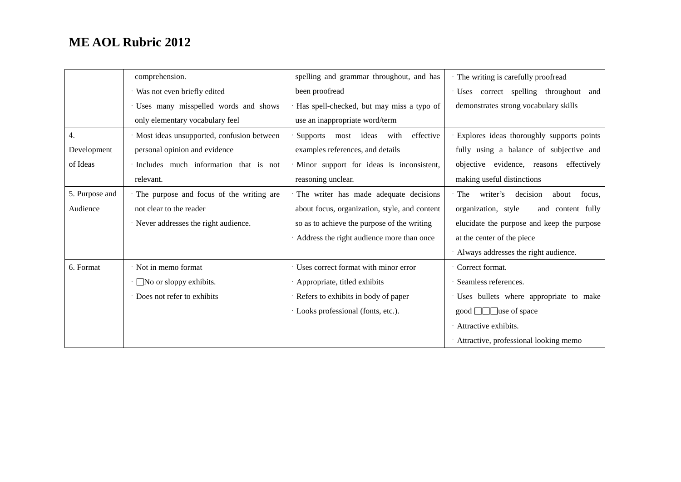|                | comprehension.                              | spelling and grammar throughout, and has      | The writing is carefully proofread            |
|----------------|---------------------------------------------|-----------------------------------------------|-----------------------------------------------|
|                | · Was not even briefly edited               | been proofread                                | · Uses correct spelling throughout and        |
|                | · Uses many misspelled words and shows      | Has spell-checked, but may miss a typo of     | demonstrates strong vocabulary skills         |
|                | only elementary vocabulary feel             | use an inappropriate word/term                |                                               |
| 4.             | · Most ideas unsupported, confusion between | Supports most ideas<br>effective<br>with      | Explores ideas thoroughly supports points     |
| Development    | personal opinion and evidence               | examples references, and details              | fully using a balance of subjective and       |
| of Ideas       | · Includes much information that is not     | Minor support for ideas is inconsistent,      | objective evidence, reasons effectively       |
|                | relevant.                                   | reasoning unclear.                            | making useful distinctions                    |
| 5. Purpose and | The purpose and focus of the writing are    | The writer has made adequate decisions        | writer's decision<br>· The<br>about<br>focus. |
| Audience       | not clear to the reader                     | about focus, organization, style, and content | organization, style<br>and content fully      |
|                | · Never addresses the right audience.       | so as to achieve the purpose of the writing   | elucidate the purpose and keep the purpose    |
|                |                                             | Address the right audience more than once     | at the center of the piece                    |
|                |                                             |                                               | Always addresses the right audience.          |
| 6. Format      | · Not in memo format                        | · Uses correct format with minor error        | Correct format.                               |
|                | $\cdot$ No or sloppy exhibits.              | Appropriate, titled exhibits                  | Seamless references.                          |
|                | Does not refer to exhibits                  | · Refers to exhibits in body of paper         | Uses bullets where appropriate to make        |
|                |                                             | · Looks professional (fonts, etc.).           | good $\Box \Box$ use of space                 |
|                |                                             |                                               | Attractive exhibits.                          |
|                |                                             |                                               | · Attractive, professional looking memo       |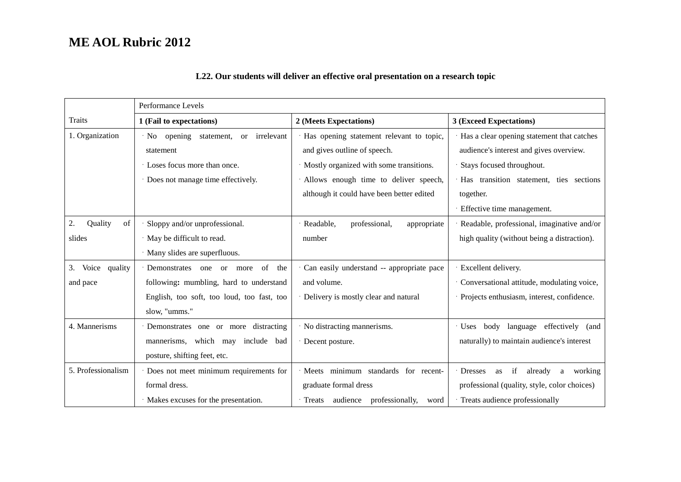|                     | Performance Levels                                |                                            |                                                       |
|---------------------|---------------------------------------------------|--------------------------------------------|-------------------------------------------------------|
| Traits              | 1 (Fail to expectations)                          | 2 (Meets Expectations)                     | 3 (Exceed Expectations)                               |
| 1. Organization     | $\cdot$ No opening<br>or irrelevant<br>statement, | Has opening statement relevant to topic,   | Has a clear opening statement that catches            |
|                     | statement                                         | and gives outline of speech.               | audience's interest and gives overview.               |
|                     | Loses focus more than once.                       | Mostly organized with some transitions.    | Stays focused throughout.                             |
|                     | · Does not manage time effectively.               | Allows enough time to deliver speech,      | Has transition statement, ties sections               |
|                     |                                                   | although it could have been better edited  | together.                                             |
|                     |                                                   |                                            | Effective time management.                            |
| 2.<br>of<br>Quality | Sloppy and/or unprofessional.                     | Readable,<br>professional,<br>appropriate  | Readable, professional, imaginative and/or            |
| slides              | · May be difficult to read.                       | number                                     | high quality (without being a distraction).           |
|                     | · Many slides are superfluous.                    |                                            |                                                       |
| Voice quality<br>3. | · Demonstrates one or more<br>of the              | Can easily understand -- appropriate pace  | Excellent delivery.                                   |
| and pace            | following: mumbling, hard to understand           | and volume.                                | Conversational attitude, modulating voice,            |
|                     | English, too soft, too loud, too fast, too        | Delivery is mostly clear and natural       | Projects enthusiasm, interest, confidence.            |
|                     | slow, "umms."                                     |                                            |                                                       |
| 4. Mannerisms       | Demonstrates one or more distracting              | No distracting mannerisms.                 | · Uses body language effectively (and                 |
|                     | mannerisms, which may include bad                 | Decent posture.                            | naturally) to maintain audience's interest            |
|                     | posture, shifting feet, etc.                      |                                            |                                                       |
| 5. Professionalism  | Does not meet minimum requirements for            | minimum standards for recent-<br>Meets     | <b>Dresses</b><br>if<br>already<br>working<br>a<br>as |
|                     | formal dress.                                     | graduate formal dress                      | professional (quality, style, color choices)          |
|                     | Makes excuses for the presentation.               | Treats audience<br>professionally,<br>word | Treats audience professionally                        |

### **L22. Our students will deliver an effective oral presentation on a research topic**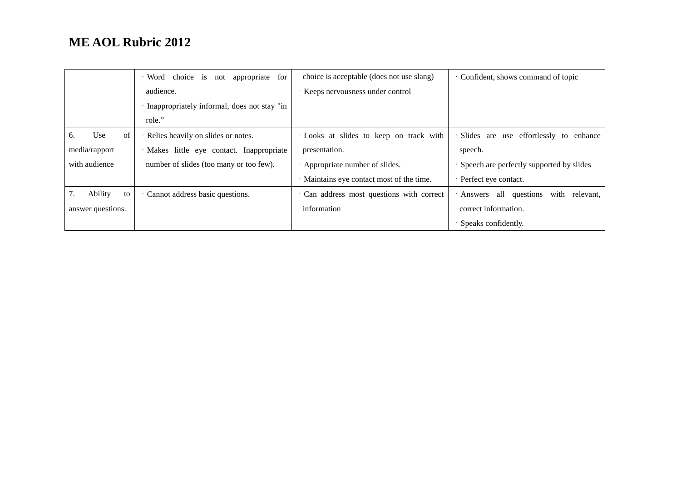|                   | Word choice<br>appropriate<br>for<br><i>is</i><br>not | choice is acceptable (does not use slang) | Confident, shows command of topic             |
|-------------------|-------------------------------------------------------|-------------------------------------------|-----------------------------------------------|
|                   | audience.                                             | Keeps nervousness under control           |                                               |
|                   | Inappropriately informal, does not stay "in           |                                           |                                               |
|                   | role."                                                |                                           |                                               |
| Use<br>of<br>6.   | Relies heavily on slides or notes.                    | Looks at slides to keep on track with     | Slides are use effortlessly to<br>enhance     |
| media/rapport     | · Makes little eye contact. Inappropriate             | presentation.                             | speech.                                       |
| with audience     | number of slides (too many or too few).               | Appropriate number of slides.             | Speech are perfectly supported by slides      |
|                   |                                                       | Maintains eye contact most of the time.   | Perfect eye contact.                          |
| Ability<br>to     | Cannot address basic questions.                       | Can address most questions with correct   | all questions<br>with<br>Answers<br>relevant. |
| answer questions. |                                                       | information                               | correct information.                          |
|                   |                                                       |                                           | Speaks confidently.                           |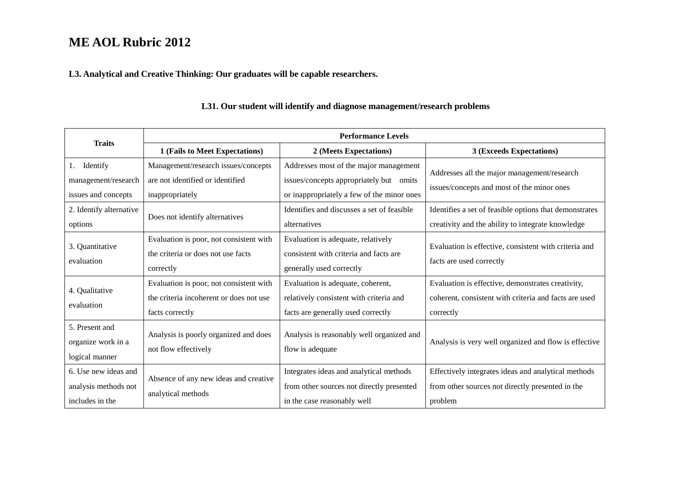### **L3. Analytical and Creative Thinking: Our graduates will be capable researchers.**

| <b>Traits</b>                                                   | <b>Performance Levels</b>                                                                             |                                                                                                                                 |                                                                                                                         |
|-----------------------------------------------------------------|-------------------------------------------------------------------------------------------------------|---------------------------------------------------------------------------------------------------------------------------------|-------------------------------------------------------------------------------------------------------------------------|
|                                                                 | 1 (Fails to Meet Expectations)                                                                        | 2 (Meets Expectations)                                                                                                          | 3 (Exceeds Expectations)                                                                                                |
| Identify<br>1.<br>management/research<br>issues and concepts    | Management/research issues/concepts<br>are not identified or identified<br>inappropriately            | Addresses most of the major management<br>issues/concepts appropriately but omits<br>or inappropriately a few of the minor ones | Addresses all the major management/research<br>issues/concepts and most of the minor ones                               |
| 2. Identify alternative<br>options                              | Does not identify alternatives                                                                        | Identifies and discusses a set of feasible<br>alternatives                                                                      | Identifies a set of feasible options that demonstrates<br>creativity and the ability to integrate knowledge             |
| 3. Quantitative<br>evaluation                                   | Evaluation is poor, not consistent with<br>the criteria or does not use facts<br>correctly            | Evaluation is adequate, relatively<br>consistent with criteria and facts are<br>generally used correctly                        | Evaluation is effective, consistent with criteria and<br>facts are used correctly                                       |
| 4. Qualitative<br>evaluation                                    | Evaluation is poor, not consistent with<br>the criteria incoherent or does not use<br>facts correctly | Evaluation is adequate, coherent,<br>relatively consistent with criteria and<br>facts are generally used correctly              | Evaluation is effective, demonstrates creativity,<br>coherent, consistent with criteria and facts are used<br>correctly |
| 5. Present and<br>organize work in a<br>logical manner          | Analysis is poorly organized and does<br>not flow effectively                                         | Analysis is reasonably well organized and<br>flow is adequate                                                                   | Analysis is very well organized and flow is effective                                                                   |
| 6. Use new ideas and<br>analysis methods not<br>includes in the | Absence of any new ideas and creative<br>analytical methods                                           | Integrates ideas and analytical methods<br>from other sources not directly presented<br>in the case reasonably well             | Effectively integrates ideas and analytical methods<br>from other sources not directly presented in the<br>problem      |

### **L31. Our student will identify and diagnose management/research problems**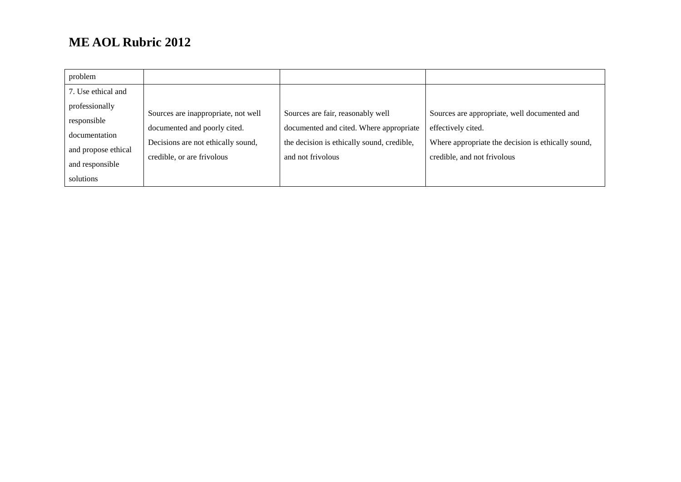| problem                                                                                               |                                                                                                                                         |                                                                                                                                                 |                                                                                                                                                         |
|-------------------------------------------------------------------------------------------------------|-----------------------------------------------------------------------------------------------------------------------------------------|-------------------------------------------------------------------------------------------------------------------------------------------------|---------------------------------------------------------------------------------------------------------------------------------------------------------|
| 7. Use ethical and                                                                                    |                                                                                                                                         |                                                                                                                                                 |                                                                                                                                                         |
| professionally<br>responsible<br>documentation<br>and propose ethical<br>and responsible<br>solutions | Sources are inappropriate, not well<br>documented and poorly cited.<br>Decisions are not ethically sound,<br>credible, or are frivolous | Sources are fair, reasonably well<br>documented and cited. Where appropriate<br>the decision is ethically sound, credible,<br>and not frivolous | Sources are appropriate, well documented and<br>effectively cited.<br>Where appropriate the decision is ethically sound,<br>credible, and not frivolous |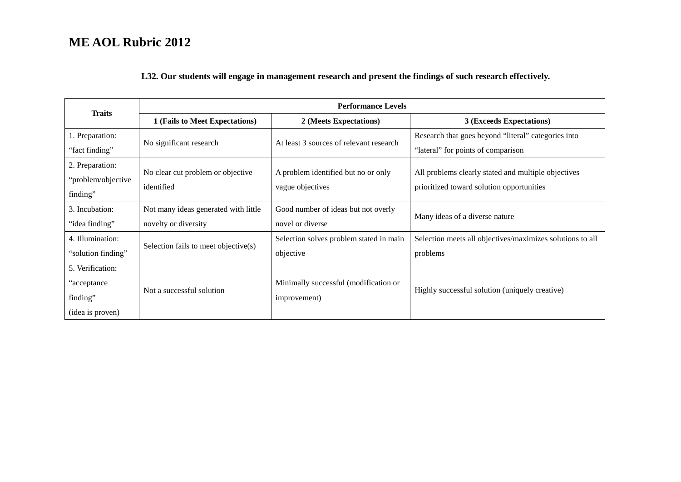### **L32. Our students will engage in management research and present the findings of such research effectively.**

|                    | <b>Performance Levels</b><br><b>Traits</b> |                                         |                                                           |
|--------------------|--------------------------------------------|-----------------------------------------|-----------------------------------------------------------|
|                    | 1 (Fails to Meet Expectations)             | 2 (Meets Expectations)                  | 3 (Exceeds Expectations)                                  |
| 1. Preparation:    | No significant research                    | At least 3 sources of relevant research | Research that goes beyond "literal" categories into       |
| "fact finding"     |                                            |                                         | "lateral" for points of comparison                        |
| 2. Preparation:    | No clear cut problem or objective          | A problem identified but no or only     | All problems clearly stated and multiple objectives       |
| "problem/objective | identified                                 | vague objectives                        | prioritized toward solution opportunities                 |
| finding"           |                                            |                                         |                                                           |
| 3. Incubation:     | Not many ideas generated with little       | Good number of ideas but not overly     | Many ideas of a diverse nature                            |
| "idea finding"     | novelty or diversity                       | novel or diverse                        |                                                           |
| 4. Illumination:   | Selection fails to meet objective(s)       | Selection solves problem stated in main | Selection meets all objectives/maximizes solutions to all |
| "solution finding" |                                            | objective                               | problems                                                  |
| 5. Verification:   |                                            |                                         |                                                           |
| "acceptance"       | Not a successful solution                  | Minimally successful (modification or   |                                                           |
| finding"           |                                            | improvement)                            | Highly successful solution (uniquely creative)            |
| (idea is proven)   |                                            |                                         |                                                           |